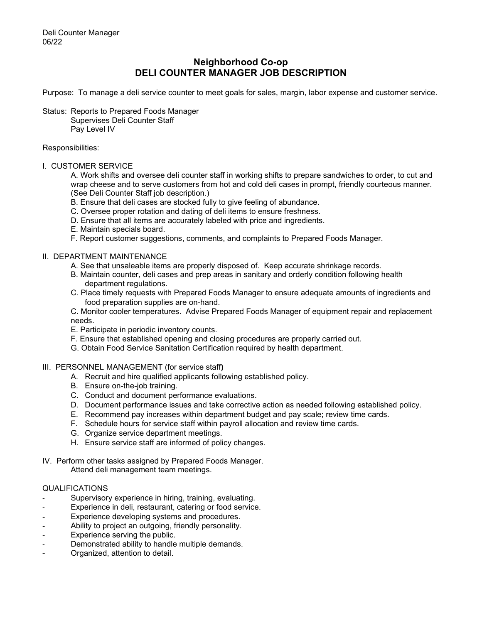# **Neighborhood Co-op DELI COUNTER MANAGER JOB DESCRIPTION**

Purpose: To manage a deli service counter to meet goals for sales, margin, labor expense and customer service.

Status: Reports to Prepared Foods Manager Supervises Deli Counter Staff Pay Level IV

### Responsibilities:

I. CUSTOMER SERVICE

A. Work shifts and oversee deli counter staff in working shifts to prepare sandwiches to order, to cut and wrap cheese and to serve customers from hot and cold deli cases in prompt, friendly courteous manner. (See Deli Counter Staff job description.)

- B. Ensure that deli cases are stocked fully to give feeling of abundance.
- C. Oversee proper rotation and dating of deli items to ensure freshness.
- D. Ensure that all items are accurately labeled with price and ingredients.
- E. Maintain specials board.
- F. Report customer suggestions, comments, and complaints to Prepared Foods Manager.

## II. DEPARTMENT MAINTENANCE

- A. See that unsaleable items are properly disposed of. Keep accurate shrinkage records.
- B. Maintain counter, deli cases and prep areas in sanitary and orderly condition following health department regulations.
- C. Place timely requests with Prepared Foods Manager to ensure adequate amounts of ingredients and food preparation supplies are on-hand.

C. Monitor cooler temperatures. Advise Prepared Foods Manager of equipment repair and replacement needs.

- E. Participate in periodic inventory counts.
- F. Ensure that established opening and closing procedures are properly carried out.
- G. Obtain Food Service Sanitation Certification required by health department.
- III. PERSONNEL MANAGEMENT (for service staff**)**
	- A. Recruit and hire qualified applicants following established policy.
	- B. Ensure on-the-job training.
	- C. Conduct and document performance evaluations.
	- D. Document performance issues and take corrective action as needed following established policy.
	- E. Recommend pay increases within department budget and pay scale; review time cards.
	- F. Schedule hours for service staff within payroll allocation and review time cards.
	- G. Organize service department meetings.
	- H. Ensure service staff are informed of policy changes.

### IV. Perform other tasks assigned by Prepared Foods Manager. Attend deli management team meetings.

## QUALIFICATIONS

- Supervisory experience in hiring, training, evaluating.
- Experience in deli, restaurant, catering or food service.
- Experience developing systems and procedures.
- Ability to project an outgoing, friendly personality.
- Experience serving the public.
- Demonstrated ability to handle multiple demands.
- Organized, attention to detail.